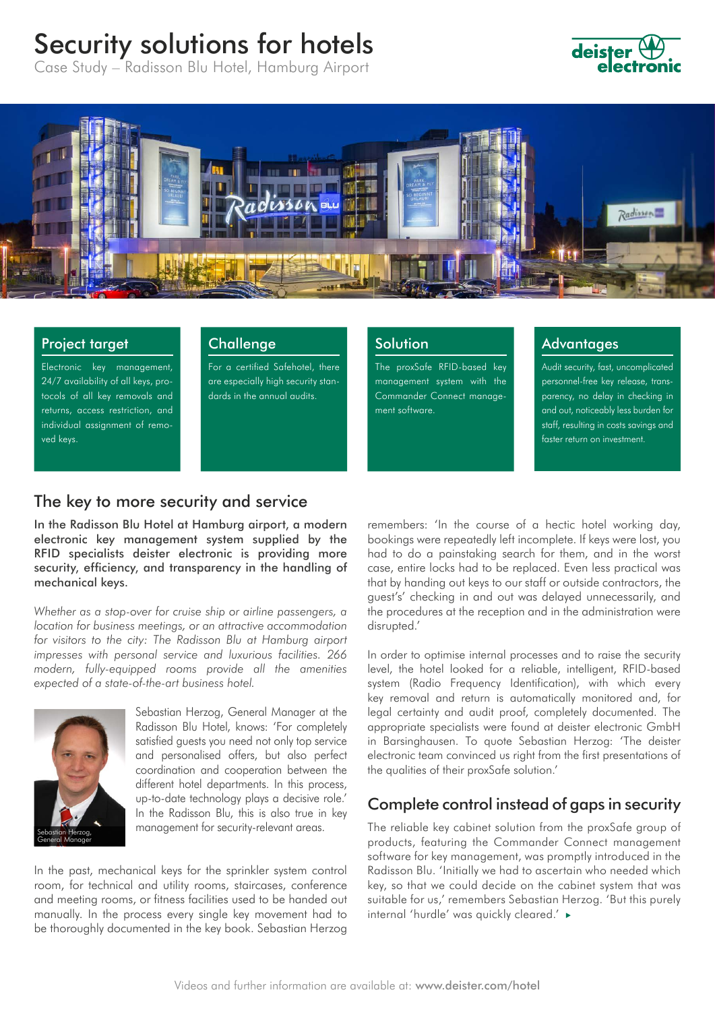# Security solutions for hotels

Case Study – Radisson Blu Hotel, Hamburg Airport



#### Project target

Electronic key management, 24/7 availability of all keys, protocols of all key removals and returns, access restriction, and individual assignment of removed keys.

### **Challenge**

For a certified Safehotel, there are especially high security standards in the annual audits.

## **Solution**

The proxSafe RFID-based key management system with the Commander Connect management software.

#### **Advantages**

Audit security, fast, uncomplicated personnel-free key release, transparency, no delay in checking in and out, noticeably less burden for staff, resulting in costs savings and faster return on investment.

# The key to more security and service

In the Radisson Blu Hotel at Hamburg airport, a modern electronic key management system supplied by the RFID specialists deister electronic is providing more security, efficiency, and transparency in the handling of mechanical keys.

*Whether as a stop-over for cruise ship or airline passengers, a location for business meetings, or an attractive accommodation for visitors to the city: The Radisson Blu at Hamburg airport impresses with personal service and luxurious facilities. 266 modern, fully-equipped rooms provide all the amenities expected of a state-of-the-art business hotel.*



Sebastian Herzog, General Manager at the Radisson Blu Hotel, knows: 'For completely satisfied guests you need not only top service and personalised offers, but also perfect coordination and cooperation between the different hotel departments. In this process, up-to-date technology plays a decisive role.' In the Radisson Blu, this is also true in key management for security-relevant areas.

In the past, mechanical keys for the sprinkler system control room, for technical and utility rooms, staircases, conference and meeting rooms, or fitness facilities used to be handed out manually. In the process every single key movement had to be thoroughly documented in the key book. Sebastian Herzog

remembers: 'In the course of a hectic hotel working day, bookings were repeatedly left incomplete. If keys were lost, you had to do a painstaking search for them, and in the worst case, entire locks had to be replaced. Even less practical was that by handing out keys to our staff or outside contractors, the guest's' checking in and out was delayed unnecessarily, and the procedures at the reception and in the administration were disrupted.'

In order to optimise internal processes and to raise the security level, the hotel looked for a reliable, intelligent, RFID-based system (Radio Frequency Identification), with which every key removal and return is automatically monitored and, for legal certainty and audit proof, completely documented. The appropriate specialists were found at deister electronic GmbH in Barsinghausen. To quote Sebastian Herzog: 'The deister electronic team convinced us right from the first presentations of the qualities of their proxSafe solution.'

# Complete control instead of gaps in security

The reliable key cabinet solution from the proxSafe group of products, featuring the Commander Connect management software for key management, was promptly introduced in the Radisson Blu. 'Initially we had to ascertain who needed which key, so that we could decide on the cabinet system that was suitable for us,' remembers Sebastian Herzog. 'But this purely internal 'hurdle' was quickly cleared.'